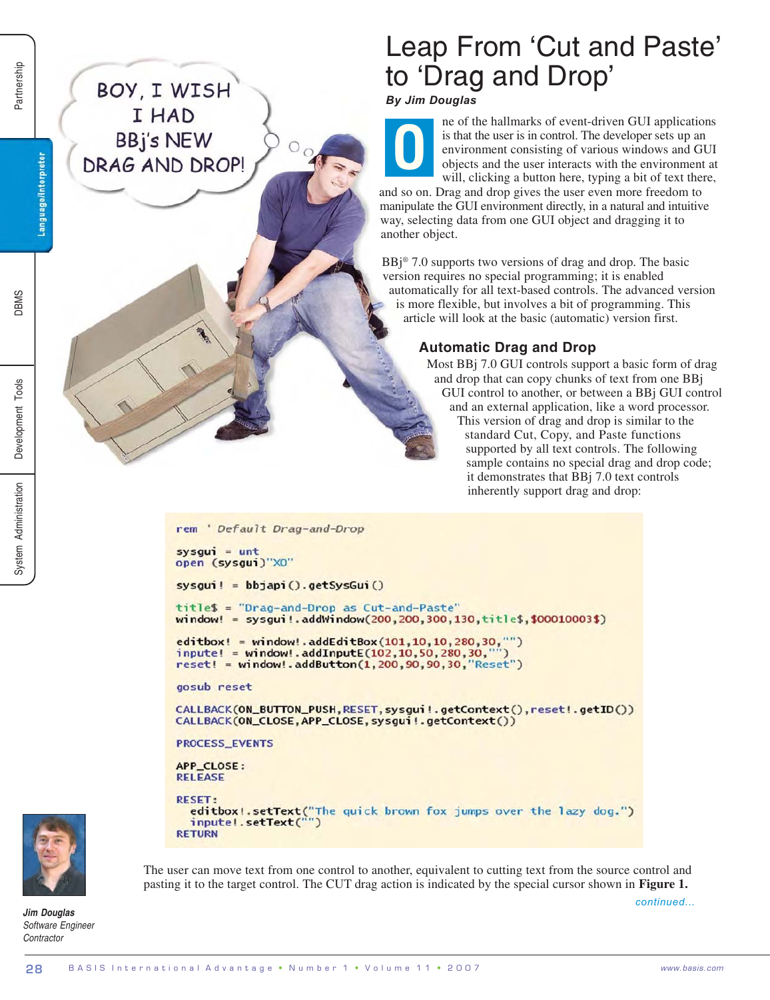# Leap From 'Cut and Paste' to 'Drag and Drop'

## *By Jim Douglas*

**O** ne of the hallmarks of event-driven GUI applications<br>is that the user is in control. The developer sets up an<br>environment consisting of various windows and GUI<br>objects and the user interacts with the environment a<br>will is that the user is in control. The developer sets up an environment consisting of various windows and GUI objects and the user interacts with the environment at will, clicking a button here, typing a bit of text there,

and so on. Drag and drop gives the user even more freedom to manipulate the GUI environment directly, in a natural and intuitive way, selecting data from one GUI object and dragging it to another object.

BBj® 7.0 supports two versions of drag and drop. The basic version requires no special programming; it is enabled automatically for all text-based controls. The advanced version is more flexible, but involves a bit of programming. This article will look at the basic (automatic) version first.

## **Automatic Drag and Drop**

Most BBj 7.0 GUI controls support a basic form of drag and drop that can copy chunks of text from one BBj GUI control to another, or between a BBj GUI control and an external application, like a word processor.

This version of drag and drop is similar to the standard Cut, Copy, and Paste functions supported by all text controls. The following sample contains no special drag and drop code; it demonstrates that BBj 7.0 text controls inherently support drag and drop:

rem ' Default Drag-and-Drop

 $svsaui = unt$ open (sysgui)"XO"

sysgui! = bbjapi().getSysGui()

 $title$  = "Drag-and-Drop as Cut-and-Paste" window! = sysgui!.addWindow(200,200,300,130,title\$,\$00010003\$)

editbox! = window!.addEditBox(101,10,10,280,30,"")<br>inpute! = window!.addInputE(102,10,50,280,30,"") reset! = window!.addButton(1,200,90,90,30,"Reset")

gosub reset

CALLBACK(ON\_BUTTON\_PUSH, RESET, sysqui!.getContext(), reset!.getID()) CALLBACK(ON\_CLOSE, APP\_CLOSE, sysgui!.getContext())

## **PROCESS\_EVENTS**

APP\_CLOSE: **RELEASE** 

```
editbox!.setText("The quick brown fox jumps over the lazy dog.")<br>inpute!.setText("")
RETURN
```
The user can move text from one control to another, equivalent to cutting text from the source control and pasting it to the target control. The CUT drag action is indicated by the special cursor shown in **Figure 1.**



*Jim Douglas Software Engineer Contractor*

*continued...*

BOY, I WISH I HAD

**BBj's NEW** 

DRAG AND DROP!

Partnership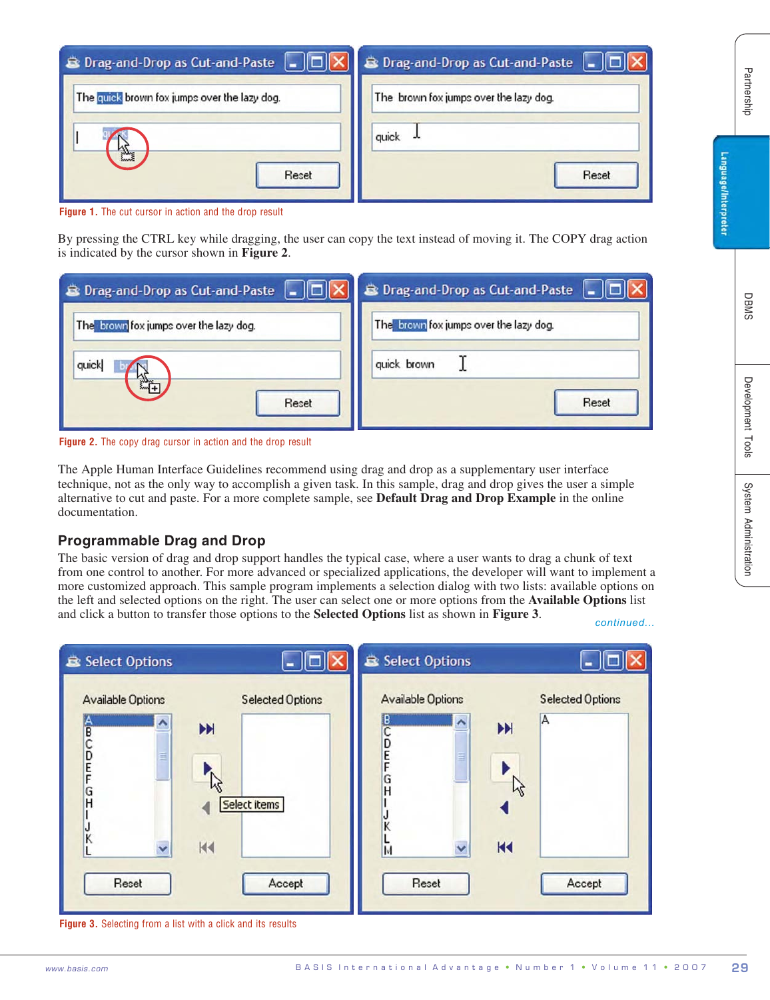| Drag-and-Drop as Cut-and-Paste               | <b>B</b> Drag-and-Drop as Cut-and-Paste |
|----------------------------------------------|-----------------------------------------|
| The quick brown fox jumps over the lazy dog. | The brown fox jumps over the lazy dog.  |
| $\mathcal{T}^{\infty}$                       | quick                                   |
| ๛<br>Reset                                   | Reset                                   |

**Figure 1.** The cut cursor in action and the drop result

By pressing the CTRL key while dragging, the user can copy the text instead of moving it. The COPY drag action is indicated by the cursor shown in **Figure 2**.

| Drag-and-Drop as Cut-and-Paste<br>WEI<br>۳ | Drag-and-Drop as Cut-and-Paste         |
|--------------------------------------------|----------------------------------------|
| The brown fox jumps over the lazy dog.     | The brown fox jumps over the lazy dog. |
| quick                                      | quick brown                            |
| Reset                                      | Reset                                  |

**Figure 2.** The copy drag cursor in action and the drop result

The Apple Human Interface Guidelines recommend using drag and drop as a supplementary user interface technique, not as the only way to accomplish a given task. In this sample, drag and drop gives the user a simple alternative to cut and paste. For a more complete sample, see **Default Drag and Drop Example** in the online documentation.

## **Programmable Drag and Drop**

The basic version of drag and drop support handles the typical case, where a user wants to drag a chunk of text from one control to another. For more advanced or specialized applications, the developer will want to implement a more customized approach. This sample program implements a selection dialog with two lists: available options on the left and selected options on the right. The user can select one or more options from the **Available Options** list and click a button to transfer those options to the **Selected Options** list as shown in **Figure 3**.

*continued...*



**Figure 3.** Selecting from a list with a click and its results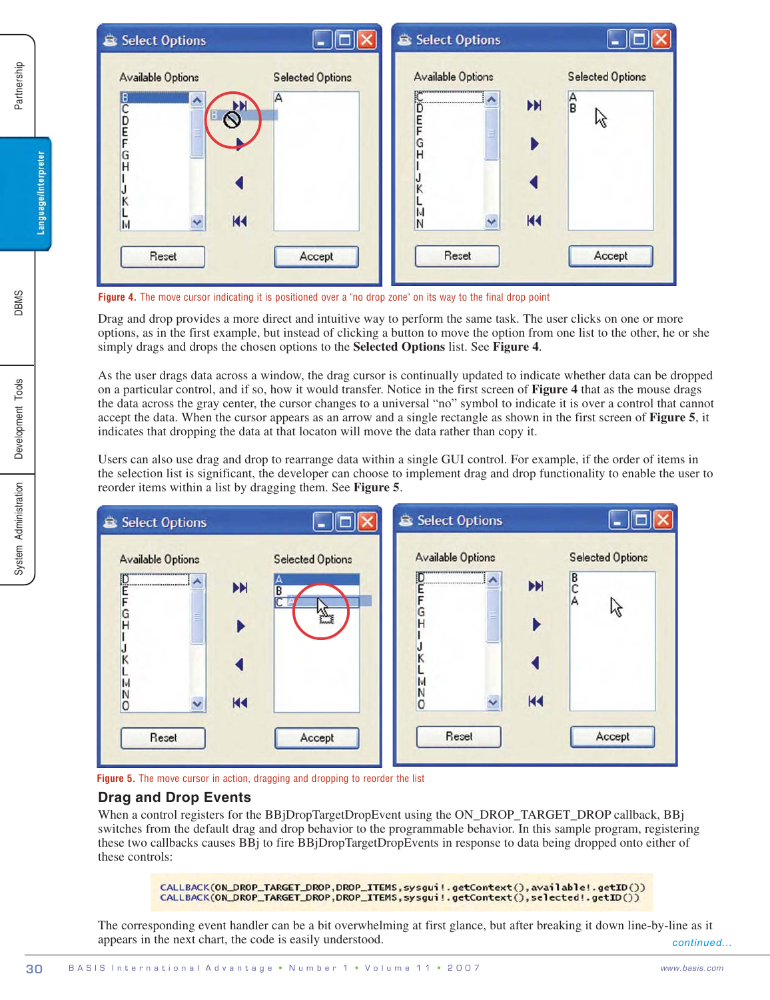

**Figure 4.** The move cursor indicating it is positioned over a "no drop zone" on its way to the final drop point

Drag and drop provides a more direct and intuitive way to perform the same task. The user clicks on one or more options, as in the first example, but instead of clicking a button to move the option from one list to the other, he or she simply drags and drops the chosen options to the **Selected Options** list. See **Figure 4**.

As the user drags data across a window, the drag cursor is continually updated to indicate whether data can be dropped on a particular control, and if so, how it would transfer. Notice in the first screen of **Figure 4** that as the mouse drags the data across the gray center, the cursor changes to a universal "no" symbol to indicate it is over a control that cannot accept the data. When the cursor appears as an arrow and a single rectangle as shown in the first screen of **Figure 5**, it indicates that dropping the data at that locaton will move the data rather than copy it.

Users can also use drag and drop to rearrange data within a single GUI control. For example, if the order of items in the selection list is significant, the developer can choose to implement drag and drop functionality to enable the user to reorder items within a list by dragging them. See **Figure 5**.



**Figure 5.** The move cursor in action, dragging and dropping to reorder the list

#### **Drag and Drop Events**

When a control registers for the BBjDropTargetDropEvent using the ON\_DROP\_TARGET\_DROP callback, BBj switches from the default drag and drop behavior to the programmable behavior. In this sample program, registering these two callbacks causes BBj to fire BBjDropTargetDropEvents in response to data being dropped onto either of these controls:

CALLBACK(ON\_DROP\_TARGET\_DROP,DROP\_ITEMS,sysgui!.getContext(),available!.getID())<br>CALLBACK(ON\_DROP\_TARGET\_DROP,DROP\_ITEMS,sysgui!.getContext(),selected!.getID())

*continued...* The corresponding event handler can be a bit overwhelming at first glance, but after breaking it down line-by-line as it appears in the next chart, the code is easily understood.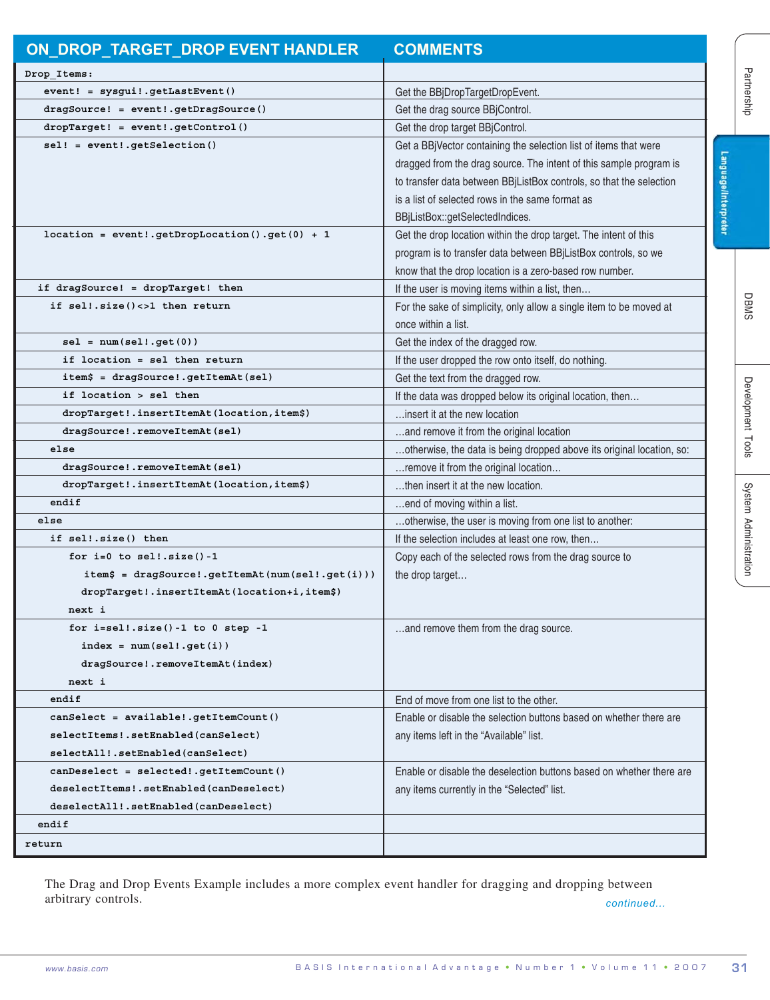|                                                  | <b>COMMENTS</b>                                                       |                             |
|--------------------------------------------------|-----------------------------------------------------------------------|-----------------------------|
| Drop Items:                                      |                                                                       |                             |
| $event! = system! . getLastEvent()$              | Get the BBjDropTargetDropEvent.                                       |                             |
| dragSource! = event!.getDragSource()             | Get the drag source BBjControl.                                       |                             |
| dropTarget! = event!.getControl()                | Get the drop target BBjControl.                                       |                             |
| sel! = event!.getSelection()                     | Get a BBjVector containing the selection list of items that were      |                             |
|                                                  | dragged from the drag source. The intent of this sample program is    |                             |
|                                                  | to transfer data between BBjListBox controls, so that the selection   |                             |
|                                                  | is a list of selected rows in the same format as                      |                             |
|                                                  | BBjListBox::getSelectedIndices.                                       | <b>Language/Interpreter</b> |
| $location = event!.getDropLocation().get(0) + 1$ | Get the drop location within the drop target. The intent of this      |                             |
|                                                  | program is to transfer data between BBjListBox controls, so we        |                             |
|                                                  | know that the drop location is a zero-based row number.               |                             |
| if dragSource! = dropTarget! then                | If the user is moving items within a list, then                       |                             |
| if sel!.size()<>1 then return                    | For the sake of simplicity, only allow a single item to be moved at   |                             |
|                                                  | once within a list.                                                   |                             |
| $sel = num(self.get(0))$                         | Get the index of the dragged row.                                     |                             |
| if location = sel then return                    | If the user dropped the row onto itself, do nothing.                  |                             |
| item\$ = dragSource!.getItemAt(sel)              | Get the text from the dragged row.                                    |                             |
| if location > sel then                           | If the data was dropped below its original location, then             |                             |
| dropTarget!.insertItemAt(location,item\$)        | insert it at the new location                                         |                             |
|                                                  |                                                                       |                             |
| dragSource!.removeItemAt(sel)                    | and remove it from the original location                              |                             |
| else                                             | otherwise, the data is being dropped above its original location, so: |                             |
| dragSource!.removeItemAt(sel)                    | remove it from the original location                                  |                             |
| dropTarget!.insertItemAt(location,item\$)        | then insert it at the new location.                                   |                             |
| endif                                            | end of moving within a list.                                          |                             |
| else                                             | otherwise, the user is moving from one list to another:               |                             |
| if sel!.size() then                              | If the selection includes at least one row, then                      |                             |
| for $i=0$ to sel!.size()-1                       | Copy each of the selected rows from the drag source to                |                             |
| item\$ = dragSource!.getItemAt(num(sel!.get(i))) | the drop target                                                       |                             |
| dropTarget!.insertItemAt(location+i,item\$)      |                                                                       |                             |
| next i                                           |                                                                       |                             |
| for $i=sel!$ .size() -1 to 0 step -1             | and remove them from the drag source.                                 |                             |
| $index = num(self.get(i))$                       |                                                                       |                             |
| dragSource!.removeItemAt(index)                  |                                                                       |                             |
| next i                                           |                                                                       |                             |
| endif                                            | End of move from one list to the other.                               |                             |
| canSelect = available!.getItemCount()            | Enable or disable the selection buttons based on whether there are    |                             |
| selectItems!.setEnabled(canSelect)               | any items left in the "Available" list.                               |                             |
| selectAll!.setEnabled(canSelect)                 |                                                                       |                             |
| canDeselect = selected!.getItemCount()           | Enable or disable the deselection buttons based on whether there are  |                             |
| deselectItems!.setEnabled(canDeselect)           | any items currently in the "Selected" list.                           |                             |
| deselectAll!.setEnabled(canDeselect)             |                                                                       |                             |
| endif                                            |                                                                       |                             |
| return                                           |                                                                       |                             |